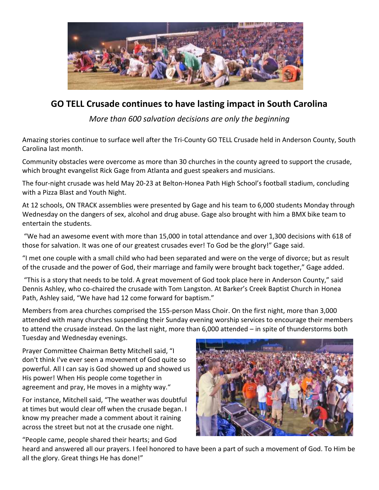

## **GO TELL Crusade continues to have lasting impact in South Carolina**

*More than 600 salvation decisions are only the beginning*

Amazing stories continue to surface well after the Tri-County GO TELL Crusade held in Anderson County, South Carolina last month.

Community obstacles were overcome as more than 30 churches in the county agreed to support the crusade, which brought evangelist Rick Gage from Atlanta and guest speakers and musicians.

The four-night crusade was held May 20-23 at Belton-Honea Path High School's football stadium, concluding with a Pizza Blast and Youth Night.

At 12 schools, ON TRACK assemblies were presented by Gage and his team to 6,000 students Monday through Wednesday on the dangers of sex, alcohol and drug abuse. Gage also brought with him a BMX bike team to entertain the students.

"We had an awesome event with more than 15,000 in total attendance and over 1,300 decisions with 618 of those for salvation. It was one of our greatest crusades ever! To God be the glory!" Gage said.

"I met one couple with a small child who had been separated and were on the verge of divorce; but as result of the crusade and the power of God, their marriage and family were brought back together," Gage added.

"This is a story that needs to be told. A great movement of God took place here in Anderson County," said Dennis Ashley, who co-chaired the crusade with Tom Langston. At Barker's Creek Baptist Church in Honea Path, Ashley said, "We have had 12 come forward for baptism."

Members from area churches comprised the 155-person Mass Choir. On the first night, more than 3,000 attended with many churches suspending their Sunday evening worship services to encourage their members to attend the crusade instead. On the last night, more than 6,000 attended – in spite of thunderstorms both Tuesday and Wednesday evenings.

Prayer Committee Chairman Betty Mitchell said, "I don't think I've ever seen a movement of God quite so powerful. All I can say is God showed up and showed us His power! When His people come together in agreement and pray, He moves in a mighty way."

For instance, Mitchell said, "The weather was doubtful at times but would clear off when the crusade began. I know my preacher made a comment about it raining across the street but not at the crusade one night.



"People came, people shared their hearts; and God heard and answered all our prayers. I feel honored to have been a part of such a movement of God. To Him be all the glory. Great things He has done!"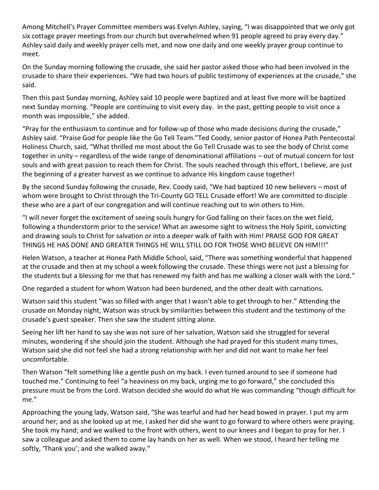Among Mitchell's Prayer Committee members was Evelyn Ashley, saying, "I was disappointed that we only got six cottage prayer meetings from our church but overwhelmed when 91 people agreed to pray every day." Ashley said daily and weekly prayer cells met, and now one daily and one weekly prayer group continue to meet.

On the Sunday morning following the crusade, she said her pastor asked those who had been involved in the crusade to share their experiences. "We had two hours of public testimony of experiences at the crusade," she said.

Then this past Sunday morning, Ashley said 10 people were baptized and at least five more will be baptized next Sunday morning. "People are continuing to visit every day. In the past, getting people to visit once a month was impossible," she added.

"Pray for the enthusiasm to continue and for follow-up of those who made decisions during the crusade," Ashley said. "Praise God for people like the Go Tell Team."Ted Coody, senior pastor of Honea Path Pentecostal Holiness Church, said, "What thrilled me most about the Go Tell Crusade was to see the body of Christ come together in unity – regardless of the wide range of denominational affiliations – out of mutual concern for lost souls and with great passion to reach them for Christ. The souls reached through this effort, I believe, are just the beginning of a greater harvest as we continue to advance His kingdom cause together!

By the second Sunday following the crusade, Rev. Coody said, "We had baptized 10 new believers – most of whom were brought to Christ through the Tri-County GO TELL Crusade effort! We are committed to disciple these who are a part of our congregation and will continue reaching out to win others to Him.

"I will never forget the excitement of seeing souls hungry for God falling on their faces on the wet field, following a thunderstorm prior to the service! What an awesome sight to witness the Holy Spirit, convicting and drawing souls to Christ for salvation or into a deeper walk of faith with Him! PRAISE GOD FOR GREAT THINGS HE HAS DONE AND GREATER THINGS HE WILL STILL DO FOR THOSE WHO BELIEVE ON HIM!!!"

Helen Watson, a teacher at Honea Path Middle School, said, "There was something wonderful that happened at the crusade and then at my school a week following the crusade. These things were not just a blessing for the students but a blessing for me that has renewed my faith and has me walking a closer walk with the Lord."

One regarded a student for whom Watson had been burdened, and the other dealt with carnations.

Watson said this student "was so filled with anger that I wasn't able to get through to her." Attending the crusade on Monday night, Watson was struck by similarities between this student and the testimony of the crusade's guest speaker. Then she saw the student sitting alone.

Seeing her lift her hand to say she was not sure of her salvation, Watson said she struggled for several minutes, wondering if she should join the student. Although she had prayed for this student many times, Watson said she did not feel she had a strong relationship with her and did not want to make her feel uncomfortable.

Then Watson "felt something like a gentle push on my back. I even turned around to see if someone had touched me." Continuing to feel "a heaviness on my back, urging me to go forward," she concluded this pressure must be from the Lord. Watson decided she would do what He was commanding "though difficult for me."

Approaching the young lady, Watson said, "She was tearful and had her head bowed in prayer. I put my arm around her; and as she looked up at me, I asked her did she want to go forward to where others were praying. She took my hand; and we walked to the front with others, went to our knees and I began to pray for her. I saw a colleague and asked them to come lay hands on her as well. When we stood, I heard her telling me softly, 'Thank you'; and she walked away."